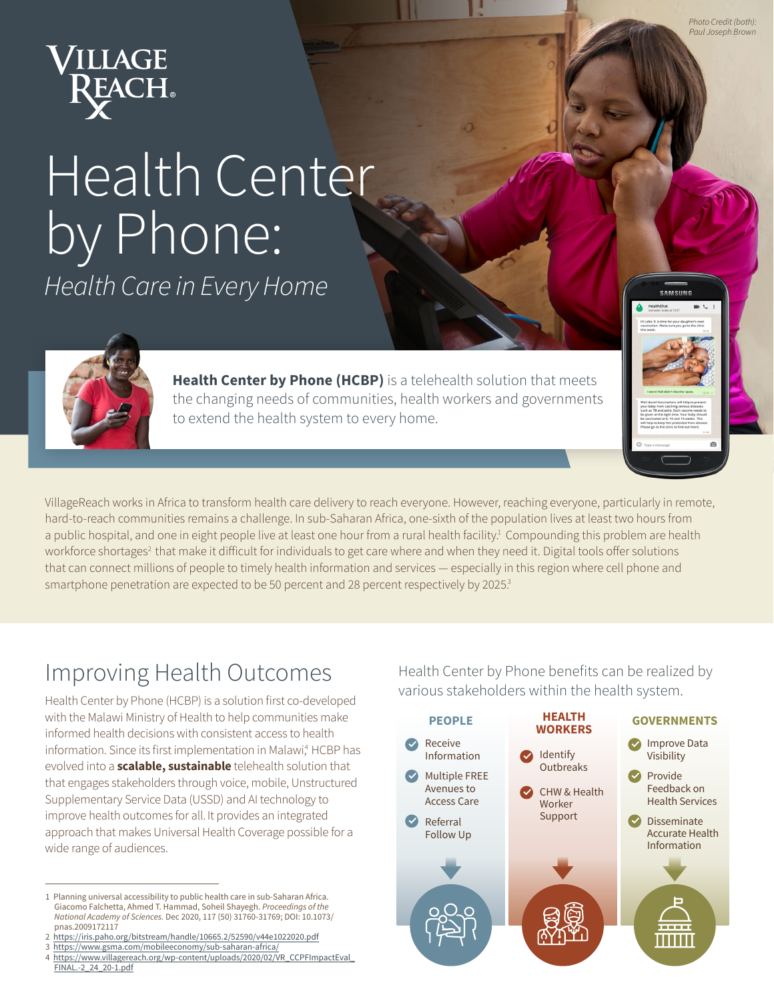

## Health Center by Phone: *Health Care in Every Home*



**Health Center by Phone (HCBP)** is a telehealth solution that meets the changing needs of communities, health workers and governments to extend the health system to every home.

VillageReach works in Africa to transform health care delivery to reach everyone. However, reaching everyone, particularly in remote, hard-to-reach communities remains a challenge. In sub-Saharan Africa, one-sixth of the population lives at least two hours from a public hospital, and one in eight people live at least one hour from a rural health facility.<sup>1</sup> Compounding this problem are health workforce shortages<sup>2</sup> that make it difficult for individuals to get care where and when they need it. Digital tools offer solutions that can connect millions of people to timely health information and services — especially in this region where cell phone and smartphone penetration are expected to be 50 percent and 28 percent respectively by 2025.<sup>3</sup>

## Improving Health Outcomes

Health Center by Phone (HCBP) is a solution first co-developed with the Malawi Ministry of Health to help communities make informed health decisions with consistent access to health information. Since its first implementation in Malawi,<sup>4</sup> HCBP has evolved into a **scalable, sustainable** telehealth solution that that engages stakeholders through voice, mobile, Unstructured Supplementary Service Data (USSD) and AI technology to improve health outcomes for all. It provides an integrated approach that makes Universal Health Coverage possible for a wide range of audiences.

- 2 https://iris.paho.org/bitstream/handle/10665.2/52590/v44e1022020.pdf
- 3 https://www.gsma.com/mobileeconomy/sub-saharan-africa/

Health Center by Phone benefits can be realized by various stakeholders within the health system.

| <b>PEOPLE</b>                                            | <b>HEALTH</b><br><b>WORKERS</b>                | <b>GOVERNMENTS</b>                                   |
|----------------------------------------------------------|------------------------------------------------|------------------------------------------------------|
| Receive<br>Information                                   | Identify                                       | <b>Improve Data</b><br>Visibility                    |
| <b>Multiple FREE</b><br>Avenues to<br><b>Access Care</b> | Outbreaks<br><b>CHW &amp; Health</b><br>Worker | Provide<br>Feedback on<br><b>Health Services</b>     |
| Referral<br><b>Follow Up</b>                             | Support                                        | Disseminate<br><b>Accurate Health</b><br>Information |
|                                                          |                                                |                                                      |
|                                                          |                                                | H                                                    |

*Photo Credit (both): Paul Joseph Brown*

**SAMSHNG** 

<sup>1</sup> Planning universal accessibility to public health care in sub-Saharan Africa. Giacomo Falchetta, Ahmed T. Hammad, Soheil Shayegh. *Proceedings of the National Academy of Sciences.* Dec 2020, 117 (50) 31760-31769; DOI: 10.1073/ pnas.2009172117

<sup>4</sup> https://www.villagereach.org/wp-content/uploads/2020/02/VR\_CCPFImpactEval\_ FINAL.-2\_24\_20-1.pdf